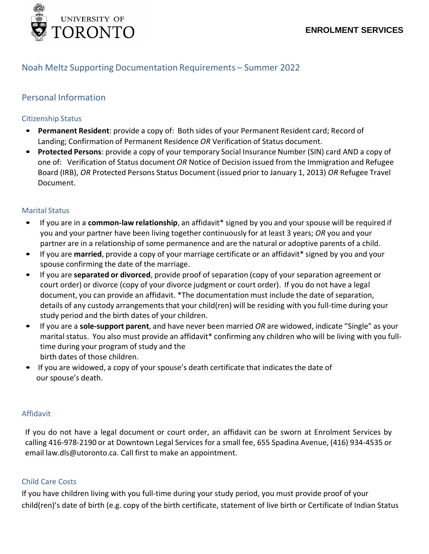

## Noah Meltz Supporting Documentation Requirements – Summer 2022

# Personal Information

### Citizenship Status

- **Permanent Resident**: provide a copy of: Both sides of your Permanent Resident card; Record of Landing; Confirmation of Permanent Residence *OR* Verification of Status document.
- **Protected Persons**: provide a copy of your temporary Social Insurance Number (SIN) card AND a copy of one of: Verification of Status document *OR* Notice of Decision issued from the Immigration and Refugee Board (IRB), *OR* Protected Persons Status Document (issued prior to January 1, 2013) *OR* Refugee Travel Document.

#### Marital Status

- If you are in a **common-law relationship**, an affidavit\* signed by you and your spouse will be required if you and your partner have been living together continuously for at least 3 years; *OR* you and your partner are in a relationship of some permanence and are the natural or adoptive parents of a child.
- If you are **married**, provide a copy of your marriage certificate or an affidavit\* signed by you and your spouse confirming the date of the marriage.
- If you are **separated or divorced**, provide proof of separation (copy of your separation agreement or court order) or divorce (copy of your divorce judgment or court order). If you do not have a legal document, you can provide an affidavit. \*The documentation must include the date of separation, details of any custody arrangements that your child(ren) will be residing with you full-time during your study period and the birth dates of your children.
- If you are a **sole-support parent**, and have never been married *OR* are widowed, indicate "Single" as your marital status. You also must provide an affidavit\* confirming any children who will be living with you fulltime during your program of study and the birth dates of those children.
- If you are widowed, a copy of your spouse's death certificate that indicates the date of our spouse's death.

#### Affidavit

If you do not have a legal document or court order, an affidavit can be sworn at Enrolment Services by calling 416-978-2190 or at Downtown Legal Services for a small fee, 655 Spadina Avenue, (416) 934-4535 or email [law.dls@utoronto.ca. C](mailto:law.dls@utoronto.ca)all first to make an appointment.

## Child Care Costs

If you have children living with you full-time during your study period, you must provide proof of your child(ren)'s date of birth (e.g. copy of the birth certificate, statement of live birth or Certificate of Indian Status